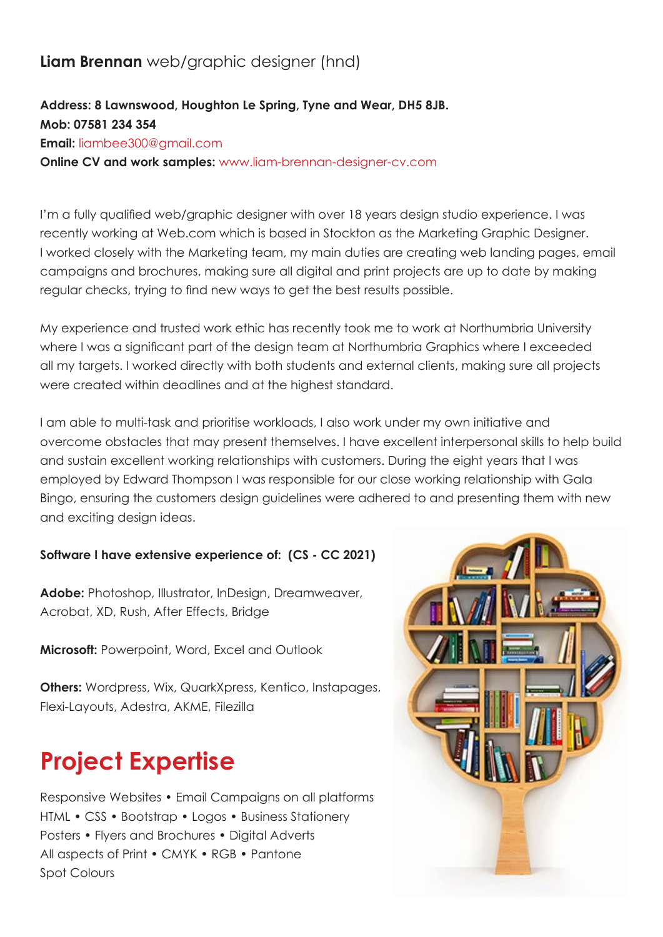### **Liam Brennan** web/graphic designer (hnd)

### **Address: 8 Lawnswood, Houghton Le Spring, Tyne and Wear, DH5 8JB. Mob: 07581 234 354 Email:** liambee300@gmail.com **Online CV and work samples:** www.liam-brennan-designer-cv.com

I'm a fully qualified web/graphic designer with over 18 years design studio experience. I was recently working at Web.com which is based in Stockton as the Marketing Graphic Designer. I worked closely with the Marketing team, my main duties are creating web landing pages, email campaigns and brochures, making sure all digital and print projects are up to date by making regular checks, trying to find new ways to get the best results possible.

My experience and trusted work ethic has recently took me to work at Northumbria University where I was a significant part of the design team at Northumbria Graphics where I exceeded all my targets. I worked directly with both students and external clients, making sure all projects were created within deadlines and at the highest standard.

I am able to multi-task and prioritise workloads, I also work under my own initiative and overcome obstacles that may present themselves. I have excellent interpersonal skills to help build and sustain excellent working relationships with customers. During the eight years that I was employed by Edward Thompson I was responsible for our close working relationship with Gala Bingo, ensuring the customers design guidelines were adhered to and presenting them with new and exciting design ideas.

#### **Software I have extensive experience of: (CS - CC 2021)**

**Adobe:** Photoshop, Illustrator, InDesign, Dreamweaver, Acrobat, XD, Rush, After Effects, Bridge

**Microsoft:** Powerpoint, Word, Excel and Outlook

**Others:** Wordpress, Wix, QuarkXpress, Kentico, Instapages, Flexi-Layouts, Adestra, AKME, Filezilla

# **Project Expertise**

Responsive Websites • Email Campaigns on all platforms HTML • CSS • Bootstrap • Logos • Business Stationery Posters • Flyers and Brochures • Digital Adverts All aspects of Print • CMYK • RGB • Pantone Spot Colours